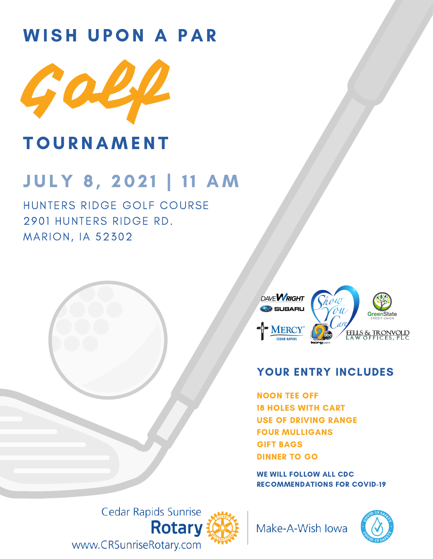# WISH UPON A PAR



## **TOURNAMENT**

# JULY 8, 2021 | 11 AM

HUNTERS RIDGE GOLF COURSE 2901 HUNTERS RIDGE RD. MARION, IA 52302



#### YOUR ENTRY INCLUDES

NOON TEE OFF 18 HOLES WITH CART USE OF DRIVING RANGE FOUR MULLIGANS GIFT BAGS DINNER TO GO

WE WILL FOLLOW ALL CDC RECOMMENDATIONS FOR COVID-19

Cedar Rapids Sunrise **Rotary** www.CRSunriseRotary.com



Make-A-Wish Iowa